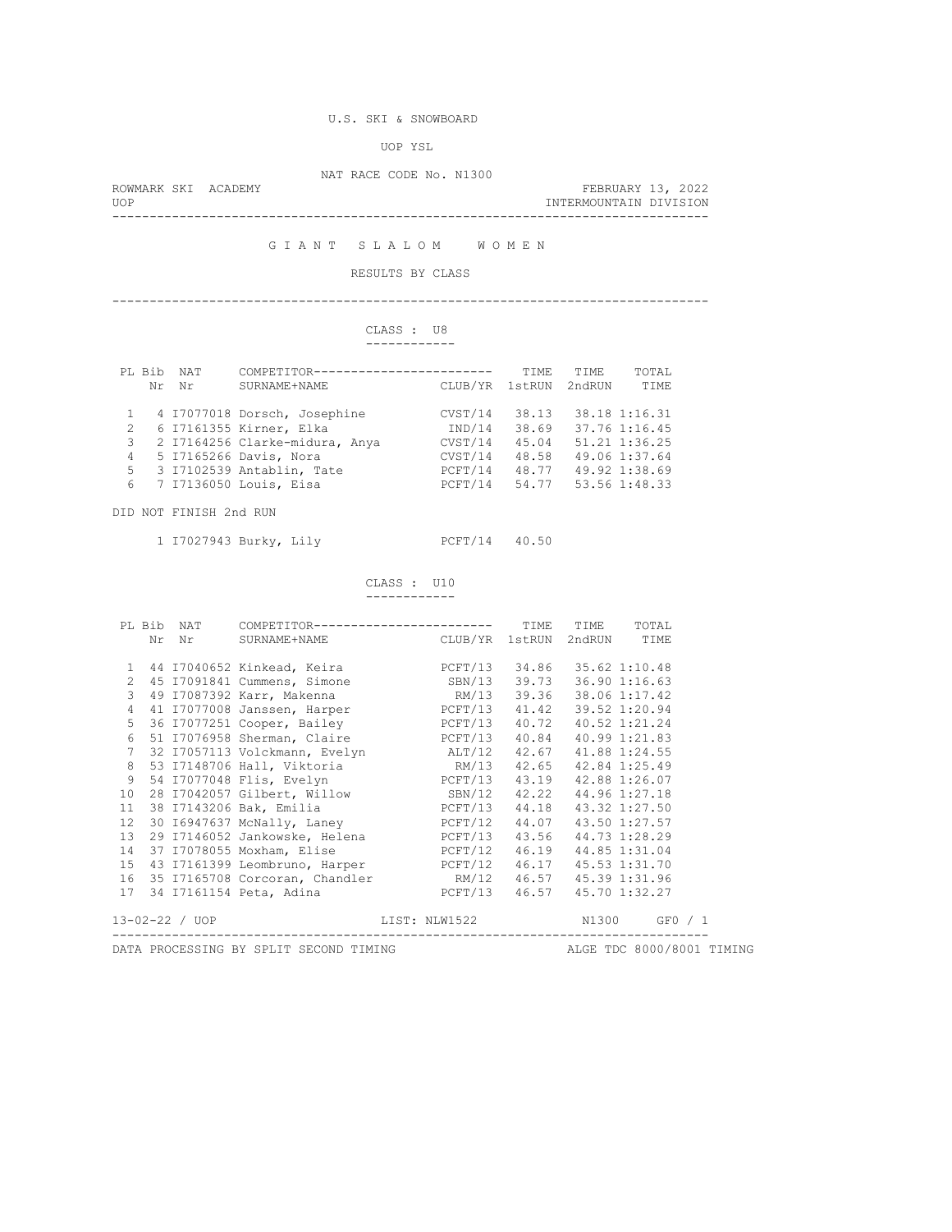### U.S. SKI & SNOWBOARD

UOP YSL

NAT RACE CODE No. N1300

| <b>UOP</b>          |  | INTERMOUNTAIN DIVISION |  |
|---------------------|--|------------------------|--|
| ROWMARK SKI ACADEMY |  | FEBRUARY 13, 2022      |  |

G I A N T S L A L O M W O M E N

### RESULTS BY CLASS

--------------------------------------------------------------------------------

# CLASS : U8

|  | ------------ |
|--|--------------|
|  |              |

|               | PL Bib | <b>NAT</b> | COMPETITOR----------------------- |         | <b>TTME</b> | TTME.  | TOTAL         |
|---------------|--------|------------|-----------------------------------|---------|-------------|--------|---------------|
|               | Nr     | Nr         | SURNAME+NAME                      | CLUB/YR | 1stRUN      | 2ndRUN | TIME          |
|               |        |            | 4 I7077018 Dorsch, Josephine      | CVST/14 | 38.13       |        | 38.18 1:16.31 |
| $\mathcal{L}$ |        |            | 6 17161355 Kirner, Elka           | IND/14  | 38.69       |        | 37.76 1:16.45 |
| 3             |        |            | 2 I7164256 Clarke-midura, Anya    | CVST/14 | 45.04       |        | 51.21 1:36.25 |
| 4             |        |            | 5 17165266 Davis, Nora            | CVST/14 | 48.58       |        | 49.06 1:37.64 |
| 5             |        |            | 3 I7102539 Antablin, Tate         | PCFT/14 | 48.77       |        | 49.92 1:38.69 |
| 6             |        |            | 7 I7136050 Louis, Eisa            | PCFT/14 | 54.77       |        | 53.56 1:48.33 |

DID NOT FINISH 2nd RUN

1 I7027943 Burky, Lily PCFT/14 40.50

 CLASS : U10 ------------

|                   |    | PL Bib NAT     | COMPETITOR-------------------------       |               | TIME  | TIME                | TOTAL               |           |
|-------------------|----|----------------|-------------------------------------------|---------------|-------|---------------------|---------------------|-----------|
|                   | Nr | Nr             | SURNAME+NAME CLUB/YR 1stRUN 2ndRUN        |               |       |                     | TIME                |           |
|                   |    |                |                                           |               |       |                     |                     |           |
| $\mathbf{1}$      |    |                | 44 I7040652 Kinkead, Keira Martin PCFT/13 |               |       |                     | 34.86 35.62 1:10.48 |           |
| 2                 |    |                | 45 I7091841 Cummens, Simone               | SBN/13        | 39.73 |                     | 36.90 1:16.63       |           |
| 3                 |    |                | 49 I7087392 Karr, Makenna                 | RM/13         | 39.36 |                     | 38.06 1:17.42       |           |
| $\overline{4}$    |    |                | 41 I7077008 Janssen, Harper PCFT/13       |               | 41.42 |                     | 39.52 1:20.94       |           |
| 5                 |    |                | 36 I7077251 Cooper, Bailey PCFT/13        |               | 40.72 |                     | 40.52 1:21.24       |           |
| $6\overline{6}$   |    |                | 51 I7076958 Sherman, Claire PCFT/13       |               | 40.84 |                     | 40.99 1:21.83       |           |
| $7\overline{ }$   |    |                | 32 I7057113 Volckmann, Evelyn ALT/12      |               | 42.67 |                     | 41.88 1:24.55       |           |
| 8                 |    |                | 53 I7148706 Hall, Viktoria 67 MM/13       |               | 42.65 |                     | 42.84 1:25.49       |           |
| $\overline{9}$    |    |                | 54 I7077048 Flis, Evelyn                  | PCFT/13       | 43.19 |                     | 42.88 1:26.07       |           |
| 10 <sub>1</sub>   |    |                | 28 I7042057 Gilbert, Willow SBN/12        |               | 42.22 |                     | 44.96 1:27.18       |           |
| 11                |    |                | 38 I7143206 Bak, Emilia                   | PCFT/13       |       | 44.18 43.32 1:27.50 |                     |           |
| $12 \overline{ }$ |    |                | 30 I6947637 McNally, Laney PCFT/12        |               | 44.07 |                     | 43.50 1:27.57       |           |
| 13                |    |                | 29 I7146052 Jankowske, Helena PCFT/13     |               | 43.56 |                     | 44.73 1:28.29       |           |
| 14                |    |                | 37 I7078055 Moxham, Elise PCFT/12         |               | 46.19 |                     | 44.85 1:31.04       |           |
| 15                |    |                | 43 I7161399 Leombruno, Harper PCFT/12     |               |       | 46.17 45.53 1:31.70 |                     |           |
| 16                |    |                | 35 I7165708 Corcoran, Chandler RM/12      |               |       |                     | 46.57 45.39 1:31.96 |           |
| 17                |    |                | 34 I7161154 Peta, Adina                   | PCFT/13       | 46.57 |                     | 45.70 1:32.27       |           |
|                   |    | 13-02-22 / UOP |                                           | LIST: NLW1522 |       | N1300               |                     | $GFO$ / 1 |
|                   |    |                |                                           |               |       |                     |                     |           |

DATA PROCESSING BY SPLIT SECOND TIMING **ALGE TDC 8000/8001 TIMING**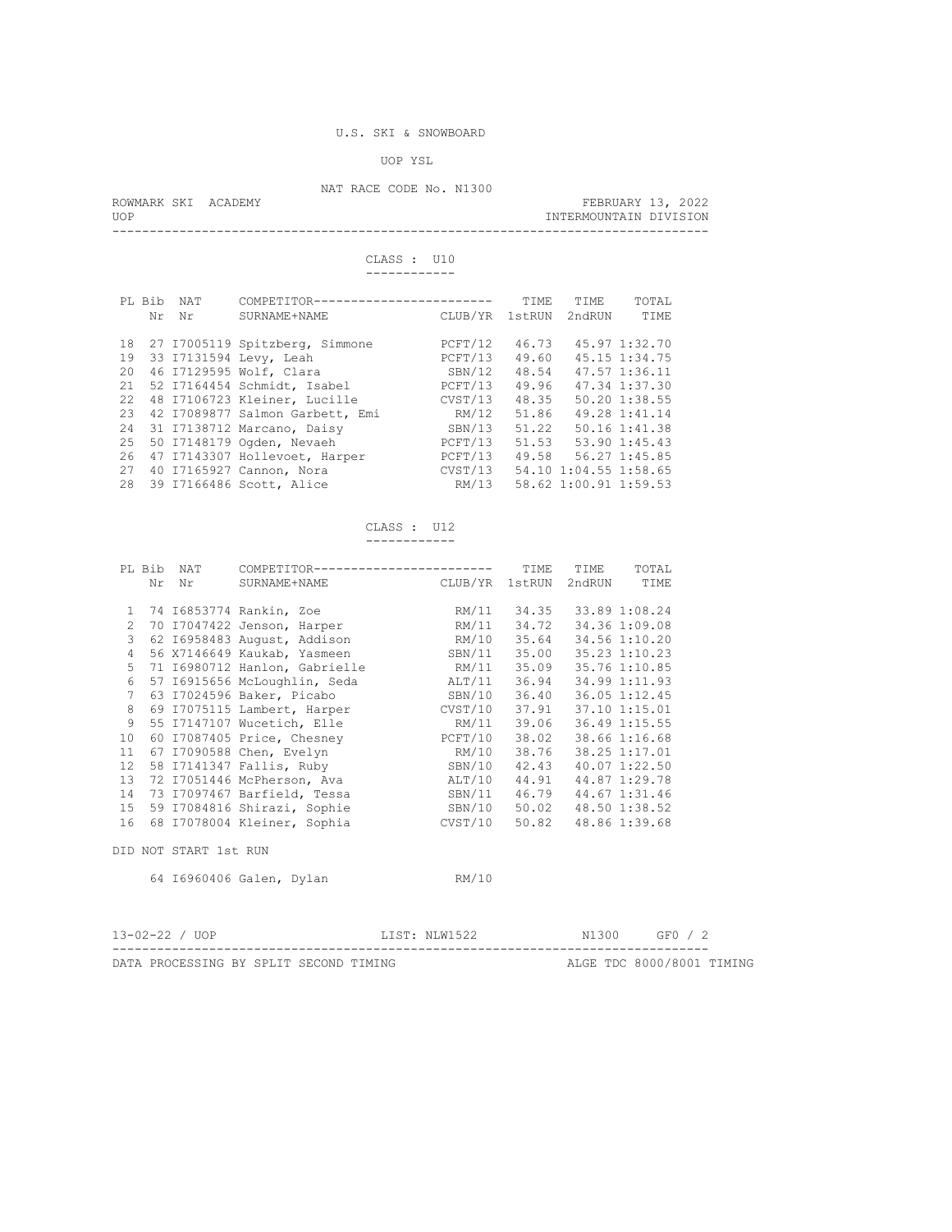### UOP YSL

# NAT RACE CODE No. N1300

|     | ROWMARK SKI ACADEMY | FEBRUARY 13, 2022      |  |
|-----|---------------------|------------------------|--|
| UOP |                     | INTERMOUNTAIN DIVISION |  |
|     |                     |                        |  |

 CLASS : U10 ------------

| PL Bib                                                             | NAT | COMPETITOR------------------------                                                                                                                                                                                                                                                                                                        | CLUB/YR                                                                                                         | TTME.                                                                         | TTME.                                          | TOTAL                                                                                                                                                 |
|--------------------------------------------------------------------|-----|-------------------------------------------------------------------------------------------------------------------------------------------------------------------------------------------------------------------------------------------------------------------------------------------------------------------------------------------|-----------------------------------------------------------------------------------------------------------------|-------------------------------------------------------------------------------|------------------------------------------------|-------------------------------------------------------------------------------------------------------------------------------------------------------|
| Nr                                                                 | Nr  | SURNAME+NAME                                                                                                                                                                                                                                                                                                                              |                                                                                                                 | 1stRUN                                                                        | 2ndRUN                                         | TTMF.                                                                                                                                                 |
| 18<br>19<br>20<br>21<br>22.2<br>23<br>2.4<br>25<br>26<br>27<br>2.8 |     | 27 I7005119 Spitzberg, Simmone<br>33 I7131594 Levy, Leah<br>46 I7129595 Wolf, Clara<br>52 I7164454 Schmidt, Isabel<br>48 I7106723 Kleiner, Lucille<br>42 I7089877 Salmon Garbett, Emi<br>31 I7138712 Marcano, Daisy<br>50 I7148179 Ogden, Nevaeh<br>47 I7143307 Hollevoet, Harper<br>40 I7165927 Cannon, Nora<br>39 I7166486 Scott, Alice | PCFT/12<br>PCFT/13<br>SBN/12<br>PCFT/13<br>CVST/13<br>RM/12<br>SBN/13<br>PCFT/13<br>PCFT/13<br>CVST/13<br>RM/13 | 46.73<br>49.60<br>48.54<br>49.96<br>48.35<br>51.86<br>51.22<br>51.53<br>49.58 | 54.10 1:04.55 1:58.65<br>58.62 1:00.91 1:59.53 | 45.97 1:32.70<br>45.15 1:34.75<br>47.57 1:36.11<br>47.34 1:37.30<br>50.20 1:38.55<br>49.28 1:41.14<br>50.16 1:41.38<br>53.90 1:45.43<br>56.27 1:45.85 |

CLASS : U12

------------

|                 |    | PL Bib NAT            | COMPETITOR------------------------                                                                                                                 |                           | TIME | TIME | TOTAL |
|-----------------|----|-----------------------|----------------------------------------------------------------------------------------------------------------------------------------------------|---------------------------|------|------|-------|
|                 | Nr | Nr                    | SURNAME+NAME CLUB/YR 1stRUN 2ndRUN                                                                                                                 |                           |      |      | TIME  |
|                 |    |                       |                                                                                                                                                    |                           |      |      |       |
| $\mathbf{1}$    |    |                       | 74 I6853774 Rankin, Zoe                                                                                                                            | RM/11 34.35 33.89 1:08.24 |      |      |       |
| 2               |    |                       | 70 I7047422 Jenson, Harper RM/11 34.72 34.36 1:09.08                                                                                               |                           |      |      |       |
| 3               |    |                       | 62 16958483 August, Addison NM/10 35.64 34.56 1:10.20                                                                                              |                           |      |      |       |
| $\overline{4}$  |    |                       | 56 X7146649 Kaukab, Yasmeen SBN/11 35.00 35.23 1:10.23                                                                                             |                           |      |      |       |
| 5               |    |                       | 71 16980712 Hanlon, Gabrielle MM/11 35.09 35.76 1:10.85                                                                                            |                           |      |      |       |
| 6               |    |                       | 57 16915656 McLoughlin, Seda ALT/11 36.94 34.99 1:11.93                                                                                            |                           |      |      |       |
| $7\overline{ }$ |    |                       | SBN/10 36.40 36.05 1:12.45<br>63 I7024596 Baker, Picabo                                                                                            |                           |      |      |       |
| 8               |    |                       | 69 I7075115 Lambert, Harper (CVST/10 37.91 37.10 1:15.01)                                                                                          |                           |      |      |       |
| $\overline{9}$  |    |                       | 55 17147107 Wucetich, Elle MM/11 39.06 36.49 1:15.55                                                                                               |                           |      |      |       |
| 10              |    |                       | 60 I7087405 Price, Chesney PCFT/10 38.02 38.66 1:16.68                                                                                             |                           |      |      |       |
| 11              |    |                       | 67 17090588 Chen, Evelyn                 RM/10   38.76   38.25 1:17.01       58 17141347 Fallis, Ruby               SBN/10   42.43   40.07 1:22.50 |                           |      |      |       |
| 12 <sup>°</sup> |    |                       |                                                                                                                                                    |                           |      |      |       |
| 13              |    |                       |                                                                                                                                                    |                           |      |      |       |
| 14              |    |                       |                                                                                                                                                    |                           |      |      |       |
| 15              |    |                       | 59 I7084816 Shirazi, Sophie SBN/10 50.02 48.50 1:38.52                                                                                             |                           |      |      |       |
| 16              |    |                       | 68 I7078004 Kleiner, Sophia             CVST/10 50.82 48.86 1:39.68                                                                                |                           |      |      |       |
|                 |    |                       |                                                                                                                                                    |                           |      |      |       |
|                 |    | DID NOT START 1st RUN |                                                                                                                                                    |                           |      |      |       |
|                 |    |                       |                                                                                                                                                    |                           |      |      |       |
|                 |    |                       | 64 16960406 Galen, Dylan                                                                                                                           | RM/10                     |      |      |       |
|                 |    |                       |                                                                                                                                                    |                           |      |      |       |
|                 |    |                       |                                                                                                                                                    |                           |      |      |       |

| $13 - 02 - 22 / UOP$                   |  |  | LIST: NLW1522 |  | N1300 GFO / 2             |  |
|----------------------------------------|--|--|---------------|--|---------------------------|--|
| DATA PROCESSING BY SPLIT SECOND TIMING |  |  |               |  | ALGE TDC 8000/8001 TIMING |  |